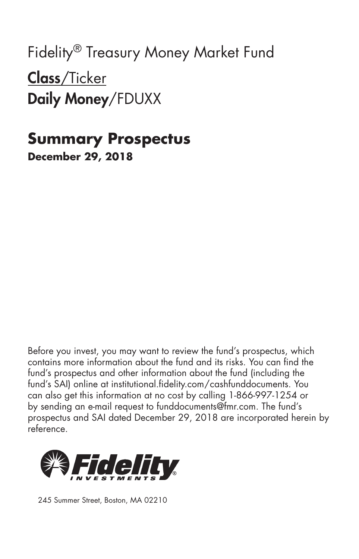Fidelity® Treasury Money Market Fund Class/Ticker Daily Money/FDUXX

### **Summary Prospectus December 29, 2018**

Before you invest, you may want to review the fund's prospectus, which contains more information about the fund and its risks. You can find the fund's prospectus and other information about the fund (including the fund's SAI) online at institutional.fidelity.com/cashfunddocuments. You can also get this information at no cost by calling 1-866-997-1254 or by sending an e-mail request to funddocuments@fmr.com. The fund's prospectus and SAI dated December 29, 2018 are incorporated herein by reference.



245 Summer Street, Boston, MA 02210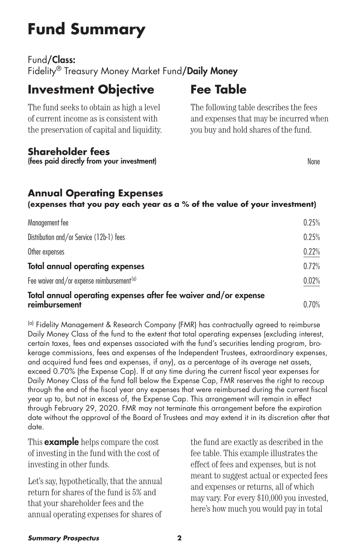# **Fund Summary**

Fund/Class:

Fidelity<sup>®</sup> Treasury Money Market Fund/Daily Money

### **Investment Objective**

The fund seeks to obtain as high a level of current income as is consistent with the preservation of capital and liquidity.

#### **Shareholder fees**

(fees paid directly from your investment) None

## **Fee Table**

The following table describes the fees and expenses that may be incurred when you buy and hold shares of the fund.

#### **Annual Operating Expenses**

**(expenses that you pay each year as a % of the value of your investment)**

| Management fee                                                                   | 0.25% |
|----------------------------------------------------------------------------------|-------|
| Distribution and/or Service (12b-1) fees                                         | 0.25% |
| Other expenses                                                                   | 0.22% |
| <b>Total annual operating expenses</b>                                           | 0.72% |
| Fee waiver and/or expense reimbursement <sup>(a)</sup>                           | 0.02% |
| Total annual operating expenses after fee waiver and/or expense<br>reimbursement | 0.70% |

(a) Fidelity Management & Research Company (FMR) has contractually agreed to reimburse Daily Money Class of the fund to the extent that total operating expenses (excluding interest, certain taxes, fees and expenses associated with the fund's securities lending program, brokerage commissions, fees and expenses of the Independent Trustees, extraordinary expenses, and acquired fund fees and expenses, if any), as a percentage of its average net assets, exceed 0.70% (the Expense Cap). If at any time during the current fiscal year expenses for Daily Money Class of the fund fall below the Expense Cap, FMR reserves the right to recoup through the end of the fiscal year any expenses that were reimbursed during the current fiscal year up to, but not in excess of, the Expense Cap. This arrangement will remain in effect through February 29, 2020. FMR may not terminate this arrangement before the expiration date without the approval of the Board of Trustees and may extend it in its discretion after that date.

This **example** helps compare the cost of investing in the fund with the cost of investing in other funds.

Let's say, hypothetically, that the annual return for shares of the fund is 5% and that your shareholder fees and the annual operating expenses for shares of

the fund are exactly as described in the fee table. This example illustrates the effect of fees and expenses, but is not meant to suggest actual or expected fees and expenses or returns, all of which may vary. For every \$10,000 you invested, here's how much you would pay in total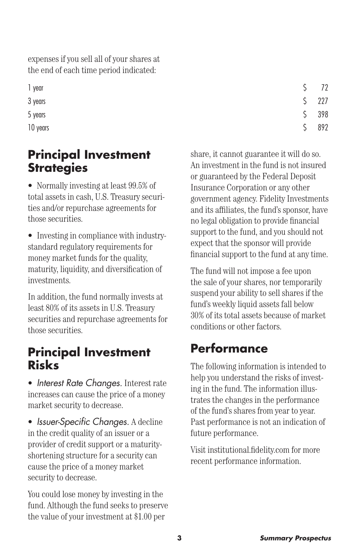expenses if you sell all of your shares at the end of each time period indicated:

10 years  $\sim$  892

### **Principal Investment Strategies**

• Normally investing at least 99.5% of total assets in cash, U.S. Treasury securities and/or repurchase agreements for those securities.

• Investing in compliance with industrystandard regulatory requirements for money market funds for the quality. maturity, liquidity, and diversification of investments.

In addition, the fund normally invests at least 80% of its assets in U.S. Treasury securities and repurchase agreements for those securities.

### **Principal Investment Risks**

• *Interest Rate Changes.* Interest rate increases can cause the price of a money market security to decrease.

• *Issuer-Specific Changes.* A decline in the credit quality of an issuer or a provider of credit support or a maturityshortening structure for a security can cause the price of a money market security to decrease.

You could lose money by investing in the fund. Although the fund seeks to preserve the value of your investment at \$1.00 per

1 year \$ 72  $3 \text{ years}$   $\begin{array}{c} 5 & 227 \end{array}$  $5 \text{ years}$   $\begin{array}{c} 5 \text{ years} \end{array}$ 

> share, it cannot guarantee it will do so. An investment in the fund is not insured or guaranteed by the Federal Deposit Insurance Corporation or any other government agency. Fidelity Investments and its affiliates, the fund's sponsor, have no legal obligation to provide financial support to the fund, and you should not expect that the sponsor will provide financial support to the fund at any time.

The fund will not impose a fee upon the sale of your shares, nor temporarily suspend your ability to sell shares if the fund's weekly liquid assets fall below 30% of its total assets because of market conditions or other factors.

## **Performance**

The following information is intended to help you understand the risks of investing in the fund. The information illustrates the changes in the performance of the fund's shares from year to year. Past performance is not an indication of future performance.

Visit institutional.fidelity.com for more recent performance information.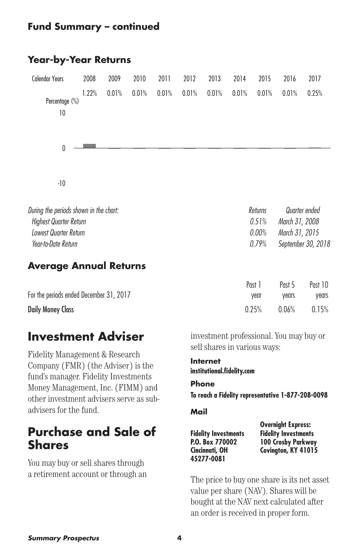#### **Fund Summary – continued**

#### **Year-by-Year Returns**

| <b>Calendar Years</b>                  | 2008  | 2009  | 2010  | 2011    | 2012  | 2013          | 2014  | 2015  | 2016           | 2017  |
|----------------------------------------|-------|-------|-------|---------|-------|---------------|-------|-------|----------------|-------|
| Percentage $(\%)$<br>10                | 1.22% | 0.01% | 0.01% | 0.01%   | 0.01% | 0.01%         | 0.01% | 0.01% | 0.01%          | 0.25% |
| $\mathbf{0}$                           |       |       |       |         |       |               |       |       |                |       |
| $-10$                                  |       |       |       |         |       |               |       |       |                |       |
| During the periods shown in the chart: |       |       |       | Returns |       | Quarter ended |       |       |                |       |
| <b>Highest Quarter Return</b>          |       |       |       |         |       |               |       | 0.51% | March 31, 2008 |       |
| <b>Lowest Quarter Return</b>           |       |       |       |         |       |               |       | 0.00% | March 31, 2015 |       |

#### **Average Annual Returns**

|                                         | Past 1 | Past 5 | Past 10        |
|-----------------------------------------|--------|--------|----------------|
| For the periods ended December 31, 2017 | vear   | vears  | vears          |
| <b>Daily Money Class</b>                | 0.25%  |        | $0.06\%$ 0.15% |

*Year-to-Date Return 0.79% September 30, 2018*

### **Investment Adviser**

Fidelity Management & Research Company (FMR) (the Adviser) is the fund's manager. Fidelity Investments Money Management, Inc. (FIMM) and other investment advisers serve as subadvisers for the fund.

### **Purchase and Sale of Shares**

You may buy or sell shares through a retirement account or through an investment professional. You may buy or sell shares in various ways:

**Internet institutional.fidelity.com**

#### **Phone**

**To reach a Fidelity representative 1-877-208-0098**

#### **Mail**

**Fidelity Investments P.O. Box 770002 Cincinnati, OH 45277-0081**

**Overnight Express: Fidelity Investments 100 Crosby Parkway Covington, KY 41015**

The price to buy one share is its net asset value per share (NAV). Shares will be bought at the NAV next calculated after an order is received in proper form.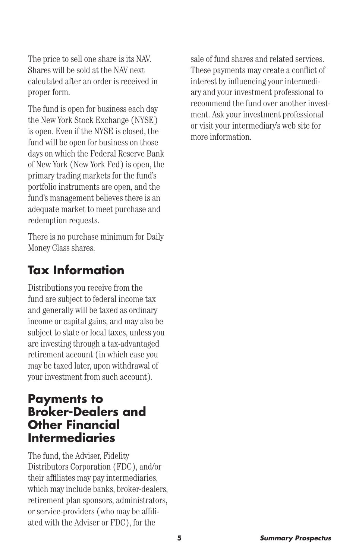The price to sell one share is its NAV. Shares will be sold at the NAV next calculated after an order is received in proper form.

The fund is open for business each day the New York Stock Exchange (NYSE) is open. Even if the NYSE is closed, the fund will be open for business on those days on which the Federal Reserve Bank of New York (New York Fed) is open, the primary trading markets for the fund's portfolio instruments are open, and the fund's management believes there is an adequate market to meet purchase and redemption requests.

There is no purchase minimum for Daily Money Class shares.

### **Tax Information**

Distributions you receive from the fund are subject to federal income tax and generally will be taxed as ordinary income or capital gains, and may also be subject to state or local taxes, unless you are investing through a tax-advantaged retirement account (in which case you may be taxed later, upon withdrawal of your investment from such account).

#### **Payments to Broker-Dealers and Other Financial Intermediaries**

The fund, the Adviser, Fidelity Distributors Corporation (FDC), and/or their affiliates may pay intermediaries, which may include banks, broker-dealers, retirement plan sponsors, administrators, or service-providers (who may be affiliated with the Adviser or FDC), for the

sale of fund shares and related services. These payments may create a conflict of interest by influencing your intermediary and your investment professional to recommend the fund over another investment. Ask your investment professional or visit your intermediary's web site for more information.